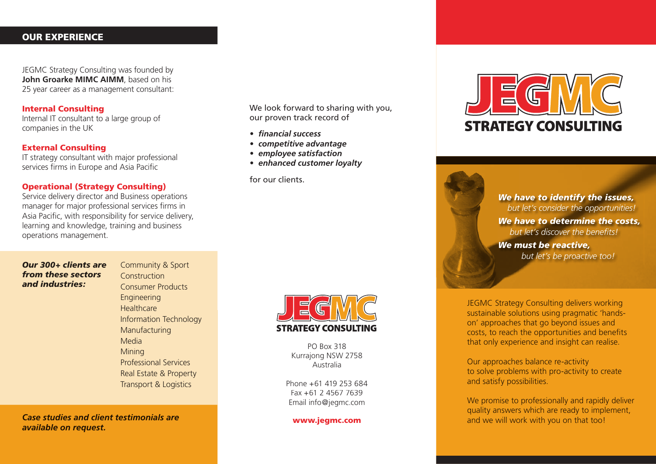# OUR EXPERIENCE

JEGMC Strategy Consulting was founded by **John Groarke MIMC AIMM**, based on his 25 year career as a management consultant:

# Internal Consulting

Internal IT consultant to a large group of companies in the UK

#### External Consulting

IT strategy consultant with major professional services firms in Europe and Asia Pacific

#### Operational (Strategy Consulting)

Service delivery director and Business operations manager for major professional services firms in Asia Pacific, with responsibility for service delivery, learning and knowledge, training and business operations management.

We look forward to sharing with you, our proven track record of

- *fi nancial success*
- *competitive advantage*
- *employee satisfaction*
- *enhanced customer loyalty*

for our clients.



*We have to identify the issues, but let's consider the opportunities! We have to determine the costs,* but let's discover the benefits! *We must be reactive, but let's be proactive too!*

*Our 300+ clients are from these sectors and industries:* 

Community & Sport Construction Consumer Products Engineering **Healthcare** Information Technology Manufacturing Media Mining Professional Services Real Estate & Property Transport & Logistics

*Case studies and client testimonials are available on request.* 



PO Box 318 Kurrajong NSW 2758 Australia

Phone +61 419 253 684 Fax +61 2 4567 7639 Email info@jegmc.com

www.jegmc.com

JEGMC Strategy Consulting delivers working sustainable solutions using pragmatic 'handson' approaches that go beyond issues and costs, to reach the opportunities and benefits that only experience and insight can realise.

Our approaches balance re-activity to solve problems with pro-activity to create and satisfy possibilities.

We promise to professionally and rapidly deliver quality answers which are ready to implement, and we will work with you on that too!